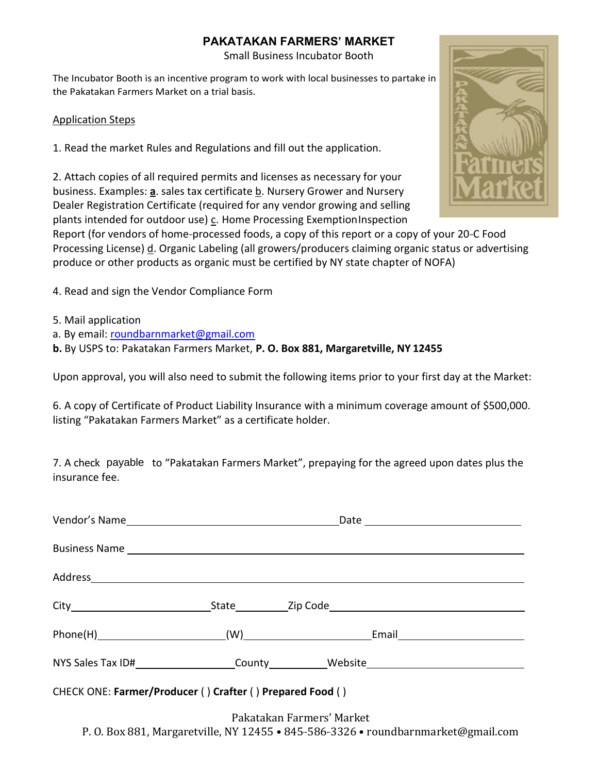Small Business Incubator Booth

The Incubator Booth is an incentive program to work with local businesses to partake in the Pakatakan Farmers Market on a trial basis.

#### Application Steps

1. Read the market Rules and Regulations and fill out the application.

2. Attach copies of all required permits and licenses as necessary for your business. Examples: **a**. sales tax certificate b. Nursery Grower and Nursery Dealer Registration Certificate (required for any vendor growing and selling plants intended for outdoor use) c. Home Processing ExemptionInspection



Report (for vendors of home-processed foods, a copy of this report or a copy of your 20-C Food Processing License) d. Organic Labeling (all growers/producers claiming organic status or advertising produce or other products as organic must be certified by NY state chapter of NOFA)

- 4. Read and sign the Vendor Compliance Form
- 5. Mail application
- a. By email: [roundbarnmarket@gmail.com](mailto:roundbarnmarket@gmail.com)

**b.** By USPS to: Pakatakan Farmers Market, **P. O. Box 881, Margaretville, NY 12455**

Upon approval, you will also need to submit the following items prior to your first day at the Market:

6. A copy of Certificate of Product Liability Insurance with a minimum coverage amount of \$500,000. listing "Pakatakan Farmers Market" as a certificate holder.

7. A check payable to "Pakatakan Farmers Market", prepaying for the agreed upon dates plus the insurance fee.

| Address and the contract of the contract of the contract of the contract of the contract of the contract of the contract of the contract of the contract of the contract of the contract of the contract of the contract of th |  |  |  |  |  |  |
|--------------------------------------------------------------------------------------------------------------------------------------------------------------------------------------------------------------------------------|--|--|--|--|--|--|
|                                                                                                                                                                                                                                |  |  |  |  |  |  |
|                                                                                                                                                                                                                                |  |  |  |  |  |  |
| NYS Sales Tax ID#_______________________County____________Website_______________                                                                                                                                               |  |  |  |  |  |  |
| CHECK ONE: Farmer/Producer () Crafter () Prepared Food ()                                                                                                                                                                      |  |  |  |  |  |  |

Pakatakan Farmers' Market P. O. Box 881, Margaretville, NY 12455 • 845-586-3326 • [roundbarnmarket@gmail.com](mailto:roundbarnmarket@gmail.com)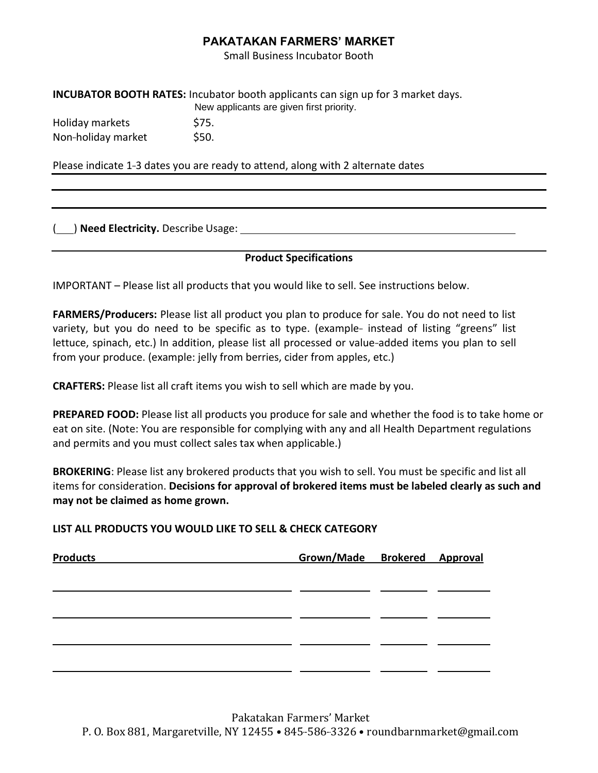Small Business Incubator Booth

**INCUBATOR BOOTH RATES:** Incubator booth applicants can sign up for 3 market days. New applicants are given first priority.

Holiday markets \$75. Non-holiday market \$50.

Please indicate 1-3 dates you are ready to attend, along with 2 alternate dates

( ) **Need Electricity.** Describe Usage:

**Product Specifications**

IMPORTANT – Please list all products that you would like to sell. See instructions below.

**FARMERS/Producers:** Please list all product you plan to produce for sale. You do not need to list variety, but you do need to be specific as to type. (example- instead of listing "greens" list lettuce, spinach, etc.) In addition, please list all processed or value-added items you plan to sell from your produce. (example: jelly from berries, cider from apples, etc.)

**CRAFTERS:** Please list all craft items you wish to sell which are made by you.

**PREPARED FOOD:** Please list all products you produce for sale and whether the food is to take home or eat on site. (Note: You are responsible for complying with any and all Health Department regulations and permits and you must collect sales tax when applicable.)

**BROKERING**: Please list any brokered products that you wish to sell. You must be specific and list all items for consideration. **Decisions for approval of brokered items must be labeled clearly as such and may not be claimed as home grown.**

**LIST ALL PRODUCTS YOU WOULD LIKE TO SELL & CHECK CATEGORY**

| <b>Products</b> | Grown/Made Brokered Approval |  |
|-----------------|------------------------------|--|
|                 |                              |  |
|                 |                              |  |
|                 |                              |  |
|                 |                              |  |
|                 |                              |  |
|                 |                              |  |
|                 |                              |  |
|                 |                              |  |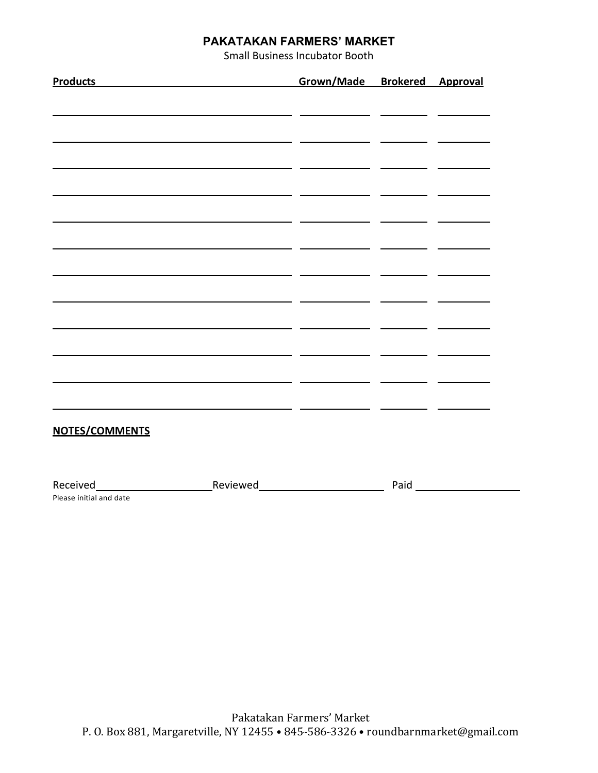Small Business Incubator Booth

| Products Products       |                                                                                                                        | Grown/Made Brokered Approval |  |
|-------------------------|------------------------------------------------------------------------------------------------------------------------|------------------------------|--|
|                         |                                                                                                                        |                              |  |
|                         | <u> 1989 - Andrea State Andrea Andrea Andrea Andrea Andrea Andrea Andrea Andrea Andrea Andrea Andrea Andrea Andrea</u> |                              |  |
|                         |                                                                                                                        |                              |  |
|                         |                                                                                                                        |                              |  |
|                         | <u> 2000 - 2000 - 2000 - 2000 - 2000 - 2000 - 2000 - 2000 - 2000 - 2000 - 2000 - 2000 - 2000 - 2000 - 2000 - 200</u>   |                              |  |
|                         |                                                                                                                        |                              |  |
|                         |                                                                                                                        |                              |  |
|                         |                                                                                                                        |                              |  |
|                         |                                                                                                                        |                              |  |
|                         |                                                                                                                        |                              |  |
|                         | <u> 1990 - Jan James James James James James James James James James James James James James James James James J</u>   |                              |  |
|                         |                                                                                                                        |                              |  |
|                         |                                                                                                                        |                              |  |
|                         |                                                                                                                        |                              |  |
|                         |                                                                                                                        |                              |  |
|                         |                                                                                                                        |                              |  |
| <b>NOTES/COMMENTS</b>   |                                                                                                                        |                              |  |
|                         |                                                                                                                        |                              |  |
|                         |                                                                                                                        |                              |  |
| Please initial and date |                                                                                                                        |                              |  |